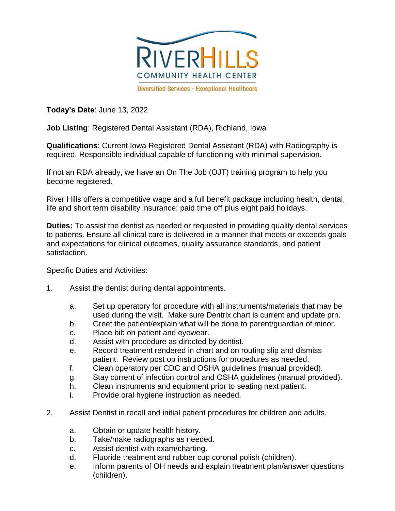

**Today's Date**: June 13, 2022

**Job Listing**: Registered Dental Assistant (RDA), Richland, Iowa

**Qualifications**: Current Iowa Registered Dental Assistant (RDA) with Radiography is required. Responsible individual capable of functioning with minimal supervision.

If not an RDA already, we have an On The Job (OJT) training program to help you become registered.

River Hills offers a competitive wage and a full benefit package including health, dental, life and short term disability insurance; paid time off plus eight paid holidays.

**Duties:** To assist the dentist as needed or requested in providing quality dental services to patients. Ensure all clinical care is delivered in a manner that meets or exceeds goals and expectations for clinical outcomes, quality assurance standards, and patient satisfaction.

Specific Duties and Activities:

- 1. Assist the dentist during dental appointments.
	- a. Set up operatory for procedure with all instruments/materials that may be used during the visit. Make sure Dentrix chart is current and update prn.
	- b. Greet the patient/explain what will be done to parent/guardian of minor.
	- c. Place bib on patient and eyewear.
	- d. Assist with procedure as directed by dentist.
	- e. Record treatment rendered in chart and on routing slip and dismiss patient. Review post op instructions for procedures as needed.
	- f. Clean operatory per CDC and OSHA guidelines (manual provided).
	- g. Stay current of infection control and OSHA guidelines (manual provided).
	- h. Clean instruments and equipment prior to seating next patient.
	- i. Provide oral hygiene instruction as needed.
- 2. Assist Dentist in recall and initial patient procedures for children and adults.
	- a. Obtain or update health history.
	- b. Take/make radiographs as needed.
	- c. Assist dentist with exam/charting.
	- d. Fluoride treatment and rubber cup coronal polish (children).
	- e. Inform parents of OH needs and explain treatment plan/answer questions (children).